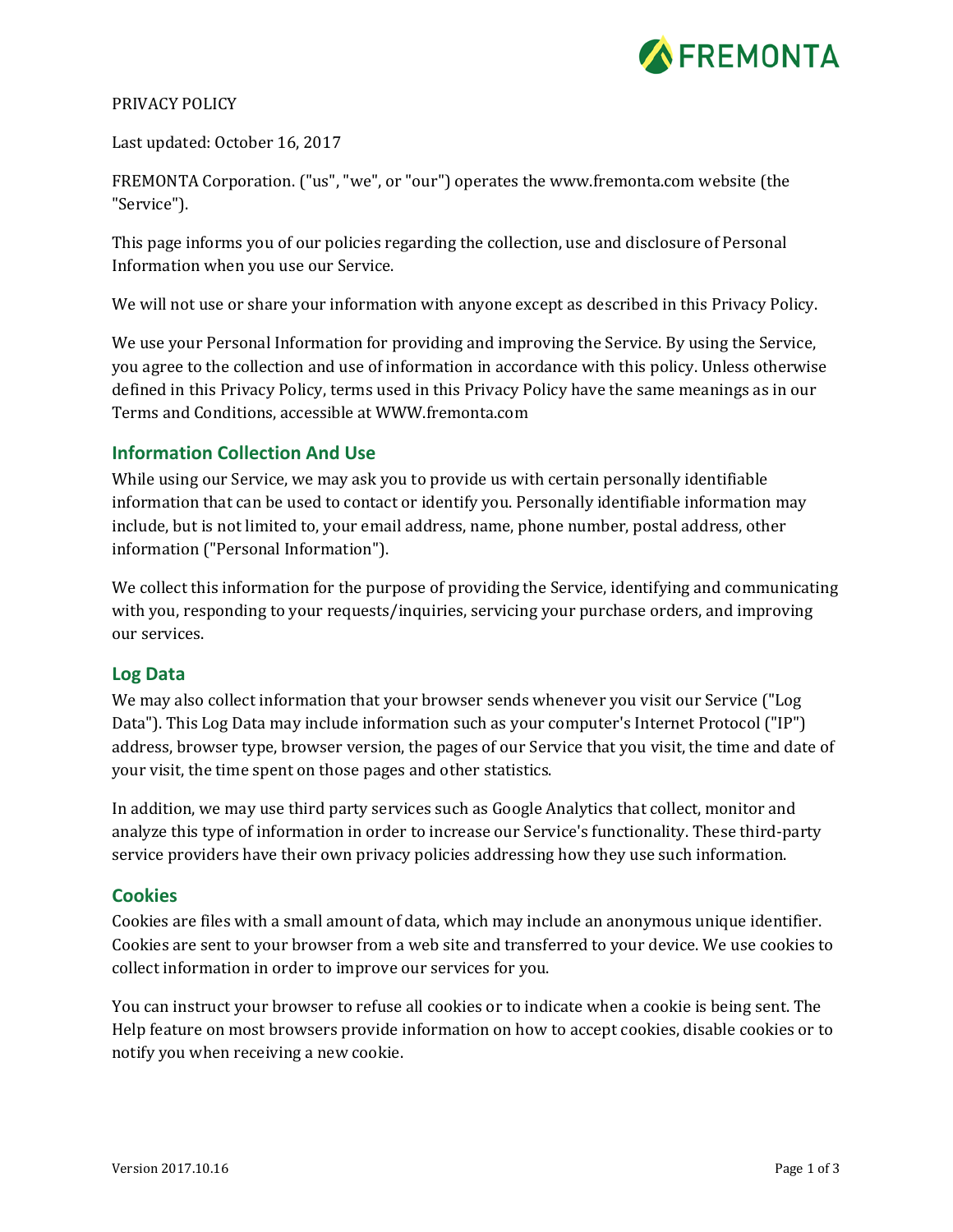

#### PRIVACY POLICY

Last updated: October 16, 2017

FREMONTA Corporation. ("us", "we", or "our") operates the www.fremonta.com website (the "Service"). 

This page informs you of our policies regarding the collection, use and disclosure of Personal Information when you use our Service.

We will not use or share your information with anyone except as described in this Privacy Policy.

We use your Personal Information for providing and improving the Service. By using the Service, you agree to the collection and use of information in accordance with this policy. Unless otherwise defined in this Privacy Policy, terms used in this Privacy Policy have the same meanings as in our Terms and Conditions, accessible at WWW.fremonta.com

### **Information Collection And Use**

While using our Service, we may ask you to provide us with certain personally identifiable information that can be used to contact or identify you. Personally identifiable information may include, but is not limited to, your email address, name, phone number, postal address, other information ("Personal Information").

We collect this information for the purpose of providing the Service, identifying and communicating with you, responding to your requests/inquiries, servicing your purchase orders, and improving our services.

#### **Log Data**

We may also collect information that your browser sends whenever you visit our Service ("Log Data"). This Log Data may include information such as your computer's Internet Protocol ("IP") address, browser type, browser version, the pages of our Service that you visit, the time and date of your visit, the time spent on those pages and other statistics.

In addition, we may use third party services such as Google Analytics that collect, monitor and analyze this type of information in order to increase our Service's functionality. These third-party service providers have their own privacy policies addressing how they use such information.

#### **Cookies**

Cookies are files with a small amount of data, which may include an anonymous unique identifier. Cookies are sent to your browser from a web site and transferred to your device. We use cookies to collect information in order to improve our services for you.

You can instruct your browser to refuse all cookies or to indicate when a cookie is being sent. The Help feature on most browsers provide information on how to accept cookies, disable cookies or to notify you when receiving a new cookie.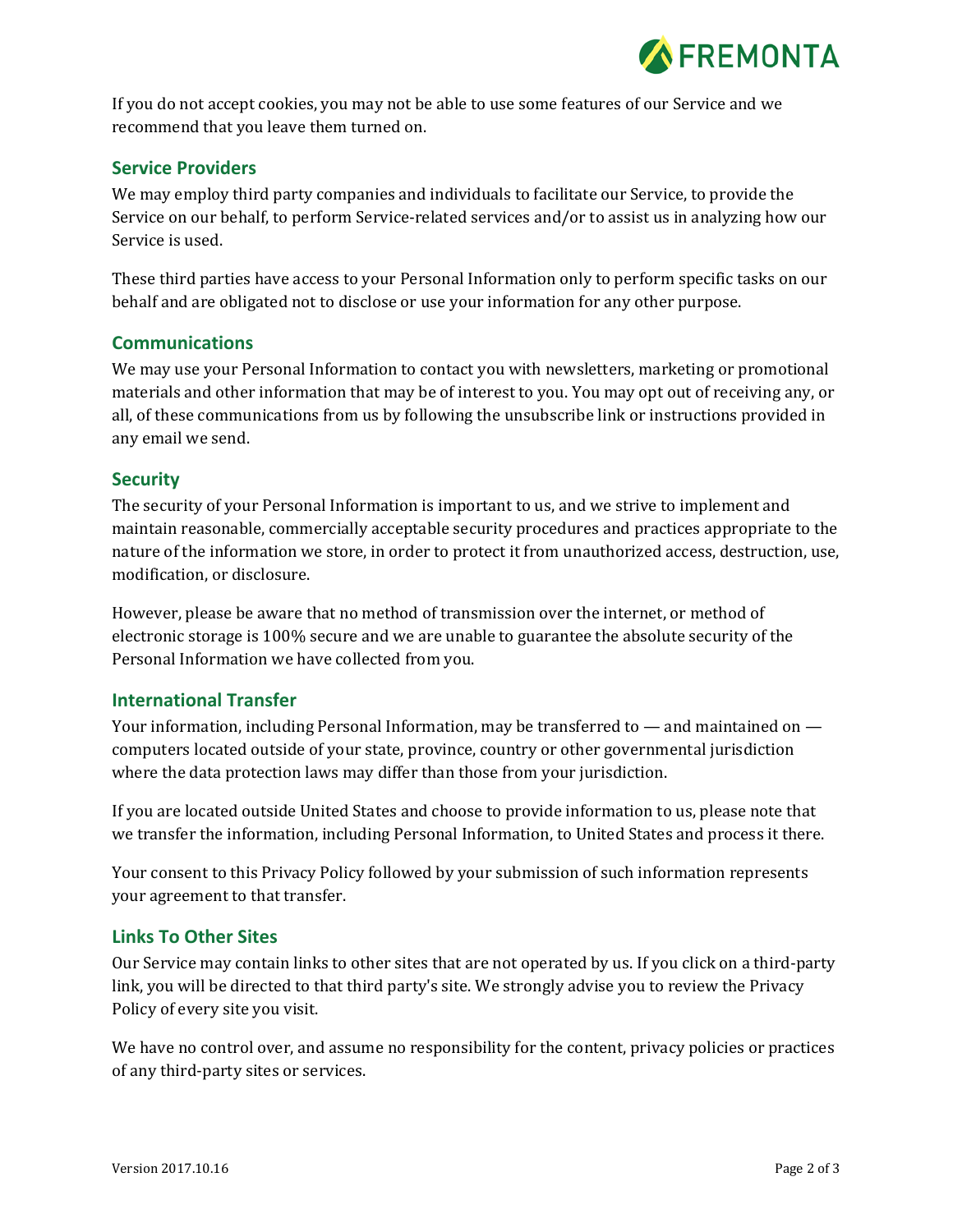

If you do not accept cookies, you may not be able to use some features of our Service and we recommend that you leave them turned on.

#### **Service Providers**

We may employ third party companies and individuals to facilitate our Service, to provide the Service on our behalf, to perform Service-related services and/or to assist us in analyzing how our Service is used.

These third parties have access to your Personal Information only to perform specific tasks on our behalf and are obligated not to disclose or use your information for any other purpose.

#### **Communications**

We may use your Personal Information to contact you with newsletters, marketing or promotional materials and other information that may be of interest to you. You may opt out of receiving any, or all, of these communications from us by following the unsubscribe link or instructions provided in any email we send.

#### **Security**

The security of your Personal Information is important to us, and we strive to implement and maintain reasonable, commercially acceptable security procedures and practices appropriate to the nature of the information we store, in order to protect it from unauthorized access, destruction, use, modification, or disclosure.

However, please be aware that no method of transmission over the internet, or method of electronic storage is 100% secure and we are unable to guarantee the absolute security of the Personal Information we have collected from you.

#### **International Transfer**

Your information, including Personal Information, may be transferred to  $-$  and maintained on  $$ computers located outside of your state, province, country or other governmental jurisdiction where the data protection laws may differ than those from your jurisdiction.

If you are located outside United States and choose to provide information to us, please note that we transfer the information, including Personal Information, to United States and process it there.

Your consent to this Privacy Policy followed by your submission of such information represents your agreement to that transfer.

# **Links To Other Sites**

Our Service may contain links to other sites that are not operated by us. If you click on a third-party link, you will be directed to that third party's site. We strongly advise you to review the Privacy Policy of every site you visit.

We have no control over, and assume no responsibility for the content, privacy policies or practices of any third-party sites or services.